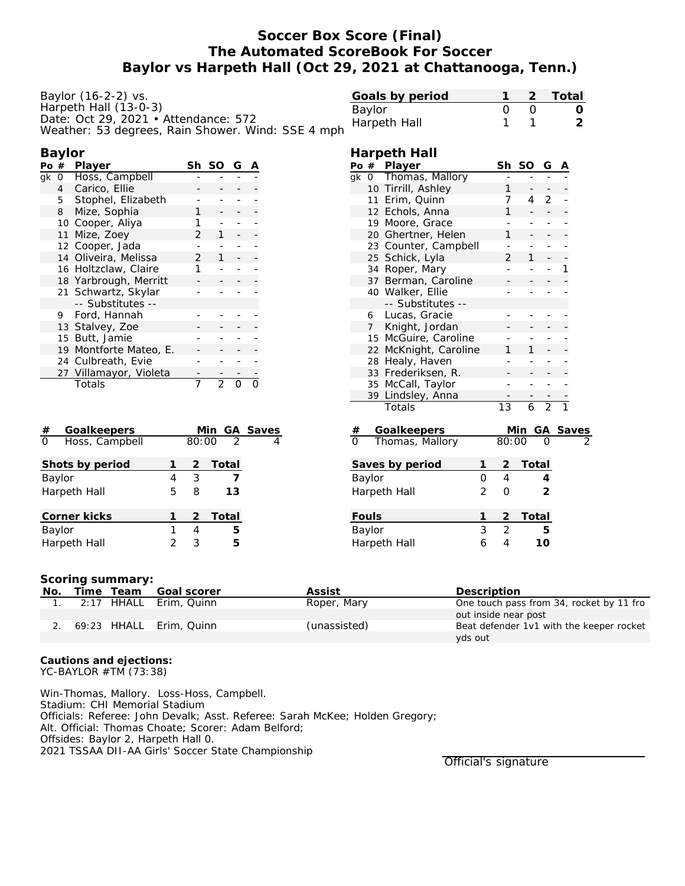# **Soccer Box Score (Final) The Automated ScoreBook For Soccer Baylor vs Harpeth Hall (Oct 29, 2021 at Chattanooga, Tenn.)**

**Harpeth Hall**

| Baylor $(16-2-2)$ vs.                             |
|---------------------------------------------------|
| Harpeth Hall (13-0-3)                             |
| Date: Oct 29, 2021 • Attendance: 572              |
| Weather: 53 degrees, Rain Shower. Wind: SSE 4 mph |

| Goals by period |  | 2 Total |
|-----------------|--|---------|
| Baylor          |  |         |
| Harpeth Hall    |  |         |
|                 |  |         |

#### **Baylor Po # Player Sh SO G A** gk 0 Hoss, Campbell 4 Carico, Ellie 5 Stophel, Elizabeth 8 Mize, Sophia 1 10 Cooper, Aliya 1 - -11 Mize, Zoey 2 1 12 Cooper, Jada - - - - 14 Oliveira, Melissa 2 1 16 Holtzclaw, Claire 1 18 Yarbrough, Merritt 21 Schwartz, Skylar -- Substitutes -- 9 Ford, Hannah 13 Stalvey, Zoe 15 Butt, Jamie 19 Montforte Mateo, E. 24 Culbreath, Evie - -27 Villamayor, Violeta - - -Totals 7 2 0 0

| Goalkeepers<br>#           |   |       | Min GA Saves  |   |
|----------------------------|---|-------|---------------|---|
| $\Omega$<br>Hoss, Campbell |   | 80:00 | $\mathcal{P}$ | 4 |
| Shots by period            |   | 2     | Total         |   |
| Baylor                     | 4 | 3     |               |   |
| Harpeth Hall               | 5 | 8     | 13            |   |
| Corner kicks               |   |       | 2 Total       |   |
| Baylor                     |   | 4     | 5             |   |
| Harpeth Hall               |   | 3     | 5             |   |

|                   | Po#               | Player                         |                |                          | SO                               | G                        | $\overline{\mathsf{A}}$ |  |
|-------------------|-------------------|--------------------------------|----------------|--------------------------|----------------------------------|--------------------------|-------------------------|--|
| gk                | $\overline{O}$    | Thomas, Mallory                |                |                          |                                  |                          |                         |  |
|                   |                   | 10 Tirrill, Ashley             |                | 1                        |                                  |                          |                         |  |
|                   |                   | 11 Erim, Quinn                 |                | 7                        | 4                                | $\overline{2}$           |                         |  |
|                   |                   | 12 Echols, Anna                |                | 1                        |                                  |                          |                         |  |
|                   |                   | 19 Moore, Grace                |                |                          | ÷                                | $\overline{\phantom{0}}$ |                         |  |
|                   |                   | 20 Ghertner, Helen             |                | 1                        |                                  | $\overline{\phantom{0}}$ |                         |  |
|                   |                   | 23 Counter, Campbell           |                |                          | ÷                                | -                        |                         |  |
|                   |                   | 25 Schick, Lyla                |                | $\overline{2}$           | 1                                |                          |                         |  |
|                   |                   | 34 Roper, Mary                 |                |                          |                                  | ÷,                       | 1                       |  |
|                   | 37                | Berman, Caroline               |                |                          |                                  |                          |                         |  |
|                   |                   | 40 Walker, Ellie               |                |                          |                                  | ۰                        |                         |  |
|                   |                   | -- Substitutes --              |                |                          |                                  |                          |                         |  |
|                   | 6                 | Lucas, Gracie                  |                |                          |                                  | ÷                        |                         |  |
|                   | $\overline{7}$    | Knight, Jordan                 |                |                          |                                  |                          |                         |  |
|                   |                   | 15 McGuire, Caroline           |                |                          |                                  | $\overline{\phantom{0}}$ |                         |  |
|                   |                   | 22 McKnight, Caroline          |                | 1                        | 1                                |                          |                         |  |
|                   |                   | 28 Healy, Haven                |                |                          |                                  | -                        |                         |  |
|                   | 33                | Frederiksen, R.                |                |                          |                                  |                          |                         |  |
|                   | 35 McCall, Taylor |                                |                |                          |                                  | ÷,                       |                         |  |
|                   | 39                | Lindsley, Anna                 |                |                          |                                  |                          |                         |  |
|                   |                   | Totals                         |                | $\overline{13}$          | $\overline{6}$                   | $\overline{2}$           |                         |  |
|                   |                   |                                |                |                          |                                  |                          |                         |  |
|                   |                   | Goalkeepers<br>Thomas, Mallory |                |                          | <u>Min GA Saves</u><br>80:00 0 2 |                          |                         |  |
|                   |                   |                                |                |                          |                                  |                          |                         |  |
|                   |                   | Saves by period                | 1              | $\overline{c}$           | Total                            |                          |                         |  |
|                   | Baylor            |                                | 0              | $\overline{4}$           |                                  | 4                        |                         |  |
|                   |                   | Harpeth Hall                   | $\overline{2}$ | 0                        |                                  | $\overline{2}$           |                         |  |
|                   | Fouls             |                                | 1              | $\overline{2}$           | <u>Total</u>                     |                          |                         |  |
|                   | Baylor            |                                | 3              | $\overline{2}$           |                                  | 5                        |                         |  |
| 6<br>Harpeth Hall |                   |                                |                | $\overline{\mathcal{A}}$ |                                  | 10                       |                         |  |
|                   |                   |                                |                |                          |                                  |                          |                         |  |

### **Scoring summary:**

| No. | Time Team | Goal scorer                | Assist       | Description                              |
|-----|-----------|----------------------------|--------------|------------------------------------------|
|     |           | 2:17 HHALL Erim, Quinn     | Roper, Mary  | One touch pass from 34, rocket by 11 fro |
|     |           |                            |              | out inside near post                     |
|     |           | 2. 69:23 HHALL Erim, Quinn | (unassisted) | Beat defender 1v1 with the keeper rocket |
|     |           |                            |              | yds out                                  |

**Cautions and ejections:** YC-BAYLOR #TM (73:38)

Win-Thomas, Mallory. Loss-Hoss, Campbell. Stadium: CHI Memorial Stadium Officials: Referee: John Devalk; Asst. Referee: Sarah McKee; Holden Gregory; Alt. Official: Thomas Choate; Scorer: Adam Belford; Offsides: Baylor 2, Harpeth Hall 0. 2021 TSSAA DII-AA Girls' Soccer State Championship

Official's signature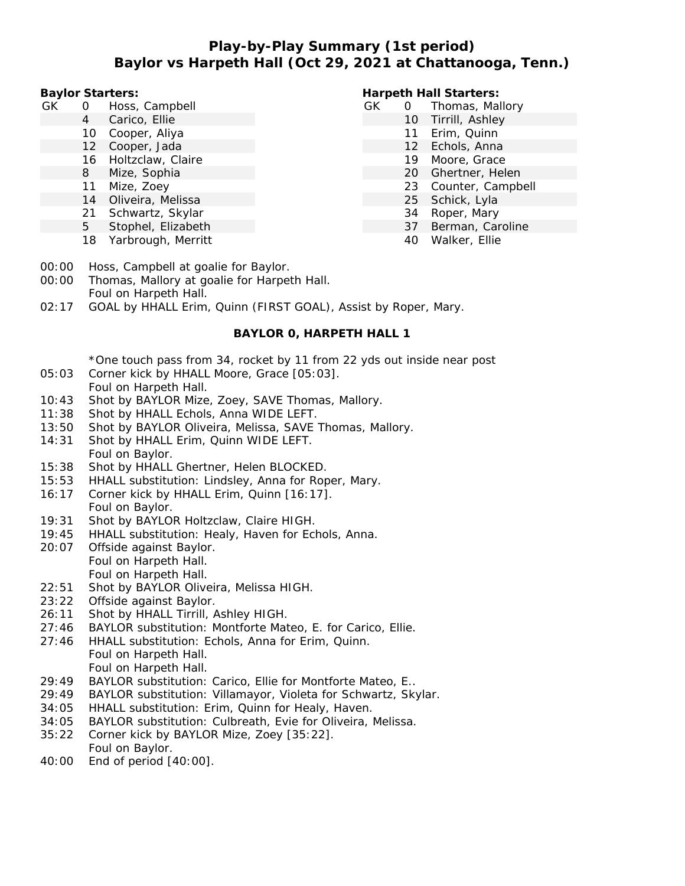# **Play-by-Play Summary (1st period) Baylor vs Harpeth Hall (Oct 29, 2021 at Chattanooga, Tenn.)**

**Baylor Starters:**

- GK 0 Hoss, Campbell
	- 4 Carico, Ellie
	- 10 Cooper, Aliya
	- 12 Cooper, Jada
	- 16 Holtzclaw, Claire
	- 8 Mize, Sophia
	- 11 Mize, Zoey
	- 14 Oliveira, Melissa
	- 21 Schwartz, Skylar
	- 5 Stophel, Elizabeth
	- 18 Yarbrough, Merritt

### **Harpeth Hall Starters:**

- GK 0 Thomas, Mallory 10 Tirrill, Ashley 11 Erim, Quinn 12 Echols, Anna 19 Moore, Grace 20 Ghertner, Helen
	-
	- 23 Counter, Campbell
	- 25 Schick, Lyla
	- 34 Roper, Mary
	- 37 Berman, Caroline
	- 40 Walker, Ellie

- 00:00 Hoss, Campbell at goalie for Baylor.
- 00:00 Thomas, Mallory at goalie for Harpeth Hall. Foul on Harpeth Hall.
- 02:17 GOAL by HHALL Erim, Quinn (FIRST GOAL), Assist by Roper, Mary.

### **BAYLOR 0, HARPETH HALL 1**

\*One touch pass from 34, rocket by 11 from 22 yds out inside near post 05:03 Corner kick by HHALL Moore, Grace [05:03].

### Foul on Harpeth Hall.

- 10:43 Shot by BAYLOR Mize, Zoey, SAVE Thomas, Mallory.
- 11:38 Shot by HHALL Echols, Anna WIDE LEFT.
- 13:50 Shot by BAYLOR Oliveira, Melissa, SAVE Thomas, Mallory.
- 14:31 Shot by HHALL Erim, Quinn WIDE LEFT. Foul on Baylor.
- 15:38 Shot by HHALL Ghertner, Helen BLOCKED.
- 15:53 HHALL substitution: Lindsley, Anna for Roper, Mary.
- 16:17 Corner kick by HHALL Erim, Quinn [16:17]. Foul on Baylor.
- 19:31 Shot by BAYLOR Holtzclaw, Claire HIGH.
- 19:45 HHALL substitution: Healy, Haven for Echols, Anna.
- 20:07 Offside against Baylor. Foul on Harpeth Hall. Foul on Harpeth Hall.
- 22:51 Shot by BAYLOR Oliveira, Melissa HIGH.
- 23:22 Offside against Baylor.
- 26:11 Shot by HHALL Tirrill, Ashley HIGH.
- 27:46 BAYLOR substitution: Montforte Mateo, E. for Carico, Ellie.
- 27:46 HHALL substitution: Echols, Anna for Erim, Quinn. Foul on Harpeth Hall.

## Foul on Harpeth Hall.

- 29:49 BAYLOR substitution: Carico, Ellie for Montforte Mateo, E..
- 29:49 BAYLOR substitution: Villamayor, Violeta for Schwartz, Skylar.
- 34:05 HHALL substitution: Erim, Quinn for Healy, Haven.
- 34:05 BAYLOR substitution: Culbreath, Evie for Oliveira, Melissa.
- 35:22 Corner kick by BAYLOR Mize, Zoey [35:22]. Foul on Baylor.
- 40:00 End of period [40:00].